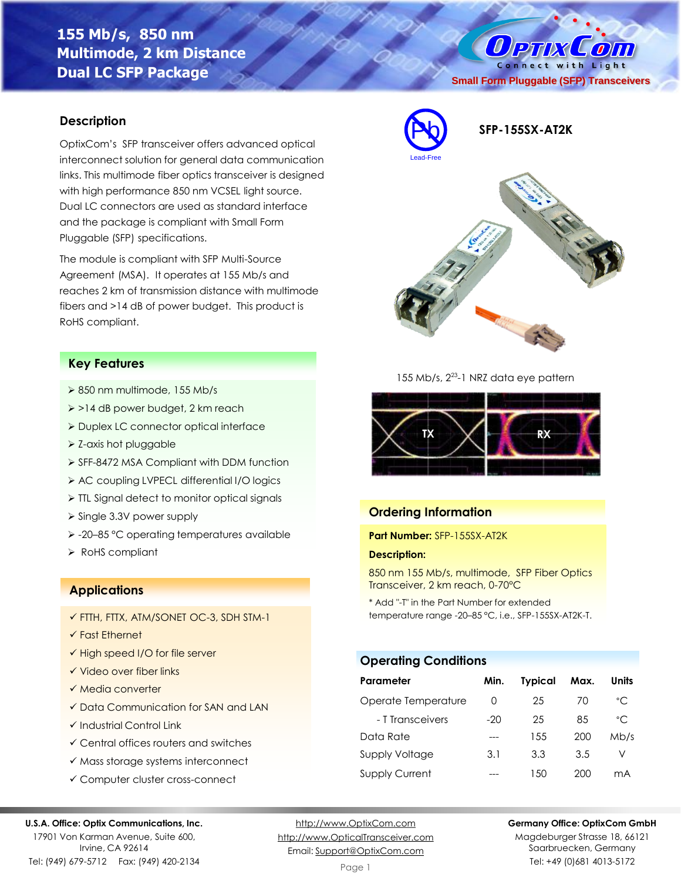# **155 Mb/s, 850 nm Multimode, 2 km Distance Dual LC SFP Package**

### **Description**

OptixCom's SFP transceiver offers advanced optical interconnect solution for general data communication links. This multimode fiber optics transceiver is designed with high performance 850 nm VCSEL light source. Dual LC connectors are used as standard interface and the package is compliant with Small Form Pluggable (SFP) specifications.

The module is compliant with SFP Multi-Source Agreement (MSA). It operates at 155 Mb/s and reaches 2 km of transmission distance with multimode fibers and >14 dB of power budget. This product is RoHS compliant.

### **Key Features**

- ➢ 850 nm multimode, 155 Mb/s
- ➢ >14 dB power budget, 2 km reach
- ➢ Duplex LC connector optical interface
- ➢ Z-axis hot pluggable
- ➢ SFF-8472 MSA Compliant with DDM function
- ➢ AC coupling LVPECL differential I/O logics
- ➢ TTL Signal detect to monitor optical signals
- ➢ Single 3.3V power supply
- ➢ -20–85 °C operating temperatures available
- ➢ RoHS compliant

### **Applications**

- ✓ FTTH, FTTX, ATM/SONET OC-3, SDH STM-1
- ✓ Fast Ethernet
- ✓ High speed I/O for file server
- ✓ Video over fiber links
- ✓ Media converter
- ✓ Data Communication for SAN and LAN
- ✓ Industrial Control Link
- ✓ Central offices routers and switches
- ✓ Mass storage systems interconnect
- ✓ Computer cluster cross-connect

#### **U.S.A. Office: Optix Communications, Inc.**

17901 Von Karman Avenue, Suite 600, Irvine, CA 92614 Tel: (949) 679-5712 Fax: (949) 420-2134

[http://www.OptixCom.com](http://www.optixcom.com/) [http://www.OpticalTransceiver.com](http://www.optoictech.com/) Email: [Support@OptixCom.com](mailto:Support@optoICtech.com)

Page 1



Magdeburger Strasse 18, 66121 Saarbruecken, Germany Tel: +49 (0)681 4013-5172



### **Ordering Information**

Lead-Free

#### **Part Number:** SFP-155SX-AT2K

#### **Description:**

850 nm 155 Mb/s, multimode, SFP Fiber Optics Transceiver, 2 km reach, 0-70°C

\* Add "-T" in the Part Number for extended temperature range -20–85 °C, i.e., SFP-155SX-AT2K-T.

### **Operating Conditions**

| Parameter             | Min.  | <b>Typical</b> | Max. | Units        |
|-----------------------|-------|----------------|------|--------------|
| Operate Temperature   | O     | 25             | 70   | $^{\circ}$ C |
| - T Transceivers      | $-20$ | 25             | 85   | $^{\circ}$ C |
| Data Rate             |       | 1.5.5          | 200  | Mb/s         |
| Supply Voltage        | 3.1   | 3.3            | 3.5  | V            |
| <b>Supply Current</b> |       | 1.50           | 200  | mA           |



Pb **SFP-155SX-AT2K**

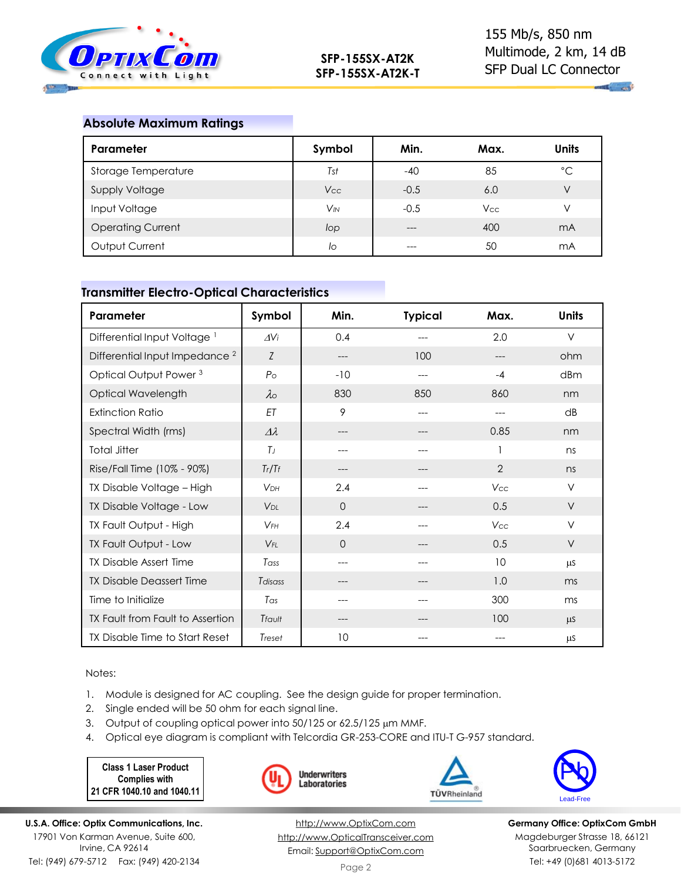

 $\mathbf{u}_1$  and

### **Absolute Maximum Ratings**

| Parameter                | Symbol     | Min.   | Max.       | <b>Units</b> |
|--------------------------|------------|--------|------------|--------------|
| Storage Temperature      | Tst        | $-40$  | 85         | °C           |
| <b>Supply Voltage</b>    | <b>Vcc</b> | $-0.5$ | 6.0        | V            |
| Input Voltage            | $V_{IN}$   | $-0.5$ | <b>Vcc</b> |              |
| <b>Operating Current</b> | lop        | $---$  | 400        | mA           |
| Output Current           | lo         | $---$  | 50         | mA           |

### **Transmitter Electro-Optical Characteristics**

| Parameter                                 | Symbol                | Min.     | <b>Typical</b> | Max.           | <b>Units</b> |
|-------------------------------------------|-----------------------|----------|----------------|----------------|--------------|
| Differential Input Voltage <sup>1</sup>   | AVi                   | 0.4      |                | 2.0            | $\vee$       |
| Differential Input Impedance <sup>2</sup> | Z                     | ---      | 100            | $---$          | ohm          |
| Optical Output Power <sup>3</sup>         | P <sub>O</sub>        | $-10$    | ---            | $-4$           | dBm          |
| Optical Wavelength                        | $\lambda$             | 830      | 850            | 860            | nm           |
| <b>Extinction Ratio</b>                   | ET                    | 9        | ---            | ---            | dB           |
| Spectral Width (rms)                      | $\varDelta\lambda$    | ---      |                | 0.85           | nm           |
| <b>Total Jitter</b>                       | $T_J$                 | ---      | ---            |                | ns           |
| Rise/Fall Time (10% - 90%)                | Tr/Tf                 | ---      |                | $\overline{2}$ | ns           |
| TX Disable Voltage - High                 | <b>V<sub>DH</sub></b> | 2.4      | $---$          | Vcc            | $\vee$       |
| TX Disable Voltage - Low                  | V <sub>DL</sub>       | $\Omega$ | $---$          | 0.5            | $\vee$       |
| TX Fault Output - High                    | $V$ FH                | 2.4      | $---$          | Vcc            | $\vee$       |
| TX Fault Output - Low                     | $V_{FI}$              | $\Omega$ |                | 0.5            | $\vee$       |
| <b>TX Disable Assert Time</b>             | Tass                  | $---$    |                | 10             | μS           |
| <b>TX Disable Deassert Time</b>           | Tdisass               | ---      |                | 1.0            | ms           |
| Time to Initialize                        | $T_{\alpha s}$        |          |                | 300            | ms           |
| TX Fault from Fault to Assertion          | Tfault                | ---      |                | 100            | μS           |
| TX Disable Time to Start Reset            | Treset                | 10       |                |                | μS           |

Notes:

1. Module is designed for AC coupling. See the design guide for proper termination.

- 2. Single ended will be 50 ohm for each signal line.
- 3. Output of coupling optical power into 50/125 or 62.5/125 µm MMF.
- 4. Optical eye diagram is compliant with Telcordia GR-253-CORE and ITU-T G-957 standard.

**Underwriters** Laboratories

**Class 1 Laser Product Complies with 21 CFR 1040.10 and 1040.11**



[http://www.OptixCom.com](http://www.optixcom.com/) [http://www.OpticalTransceiver.com](http://www.optoictech.com/) Email: [Support@OptixCom.com](mailto:Support@optoICtech.com)

TÜVRheinland



**Germany Office: OptixCom GmbH** Magdeburger Strasse 18, 66121 Saarbruecken, Germany Tel: +49 (0)681 4013-5172